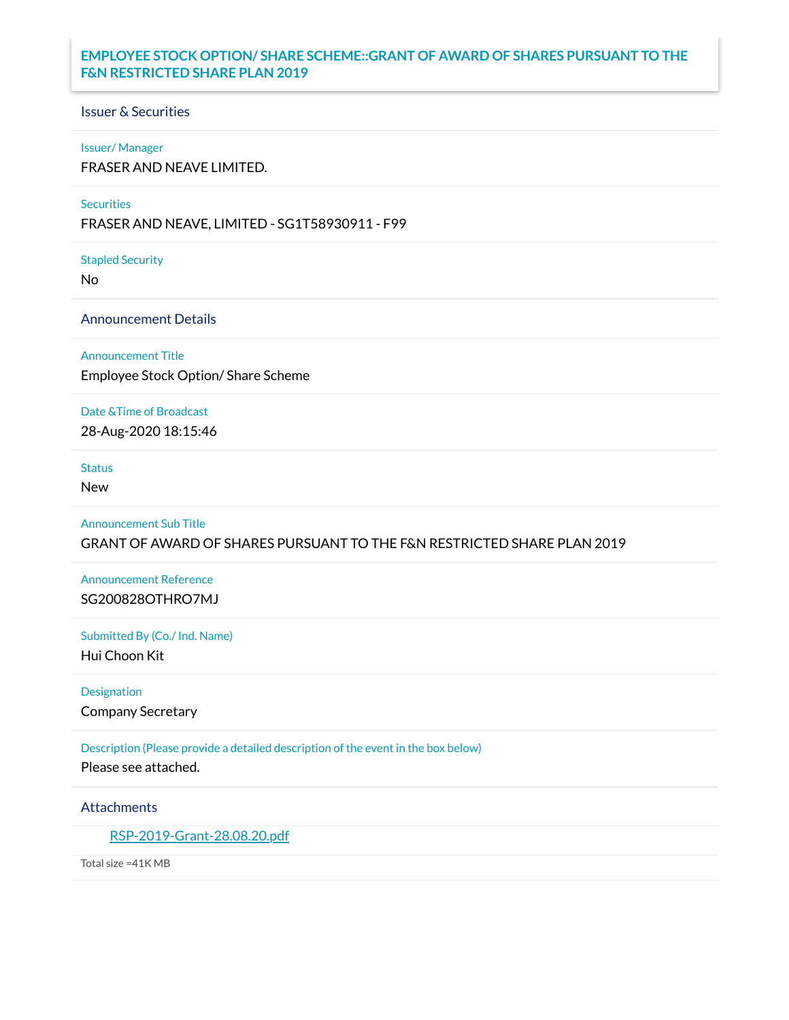## **EMPLOYEE STOCK OPTION/ SHARE SCHEME::GRANT OF AWARD OF SHARES PURSUANT TO THE F&N RESTRICTED SHARE PLAN 2019**

### Issuer & Securities

#### Issuer/ Manager

FRASER AND NEAVE LIMITED.

#### **Securities**

FRASER AND NEAVE, LIMITED - SG1T58930911 - F99

Stapled Security

No

Announcement Details

Announcement Title

Employee Stock Option/ Share Scheme

Date &Time of Broadcast

28-Aug-2020 18:15:46

## **Status**

New

Announcement Sub Title

GRANT OF AWARD OF SHARES PURSUANT TO THE F&N RESTRICTED SHARE PLAN 2019

Announcement Reference SG200828OTHRO7MJ

Submitted By (Co./ Ind. Name)

Hui Choon Kit

Designation

Company Secretary

Description (Please provide a detailed description of the event in the box below) Please see attached.

Attachments

[RSP-2019-Grant-28.08.20.pdf](https://links.sgx.com/1.0.0/corporate-announcements/1MQ0FL4AMO5S5ROK/RSP-2019-Grant-28.08.20.pdf)

Total size =41K MB